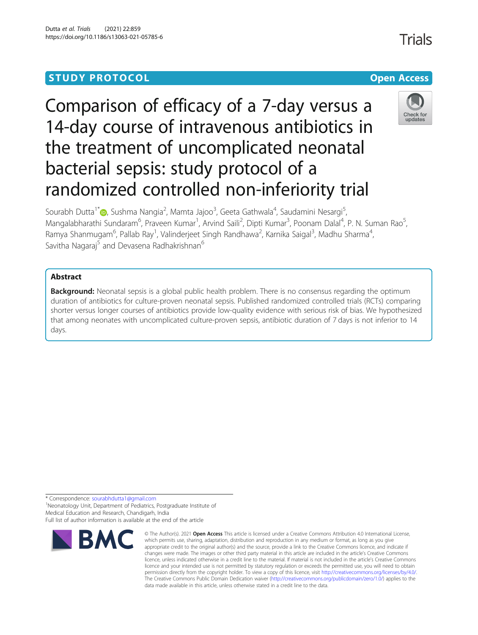# **STUDY PROTOCOL CONSUMING THE RESERVE ACCESS**

# Comparison of efficacy of a 7-day versus a 14-day course of intravenous antibiotics in the treatment of uncomplicated neonatal bacterial sepsis: study protocol of a randomized controlled non-inferiority trial



Sourabh Dutta<sup>1[\\*](http://orcid.org/0000-0002-5595-8289)</sup>®, Sushma Nangia<sup>2</sup>, Mamta Jajoo<sup>3</sup>, Geeta Gathwala<sup>4</sup>, Saudamini Nesargi<sup>5</sup> , Mangalabharathi Sundaram<sup>6</sup>, Praveen Kumar<sup>1</sup>, Arvind Saili<sup>2</sup>, Dipti Kumar<sup>3</sup>, Poonam Dalal<sup>4</sup>, P. N. Suman Rao<sup>5</sup> , Ramya Shanmugam<sup>6</sup>, Pallab Ray<sup>1</sup>, Valinderjeet Singh Randhawa<sup>2</sup>, Karnika Saigal<sup>3</sup>, Madhu Sharma<sup>4</sup> , Savitha Nagaraj<sup>5</sup> and Devasena Radhakrishnan<sup>6</sup>

# Abstract

**Background:** Neonatal sepsis is a global public health problem. There is no consensus regarding the optimum duration of antibiotics for culture-proven neonatal sepsis. Published randomized controlled trials (RCTs) comparing shorter versus longer courses of antibiotics provide low-quality evidence with serious risk of bias. We hypothesized that among neonates with uncomplicated culture-proven sepsis, antibiotic duration of 7 days is not inferior to 14 days.

\* Correspondence: [sourabhdutta1@gmail.com](mailto:sourabhdutta1@gmail.com) <sup>1</sup>

<sup>1</sup>Neonatology Unit, Department of Pediatrics, Postgraduate Institute of Medical Education and Research, Chandigarh, India

Full list of author information is available at the end of the article



<sup>©</sup> The Author(s), 2021 **Open Access** This article is licensed under a Creative Commons Attribution 4.0 International License, which permits use, sharing, adaptation, distribution and reproduction in any medium or format, as long as you give appropriate credit to the original author(s) and the source, provide a link to the Creative Commons licence, and indicate if changes were made. The images or other third party material in this article are included in the article's Creative Commons licence, unless indicated otherwise in a credit line to the material. If material is not included in the article's Creative Commons licence and your intended use is not permitted by statutory regulation or exceeds the permitted use, you will need to obtain permission directly from the copyright holder. To view a copy of this licence, visit [http://creativecommons.org/licenses/by/4.0/.](http://creativecommons.org/licenses/by/4.0/) The Creative Commons Public Domain Dedication waiver [\(http://creativecommons.org/publicdomain/zero/1.0/](http://creativecommons.org/publicdomain/zero/1.0/)) applies to the data made available in this article, unless otherwise stated in a credit line to the data.

Trials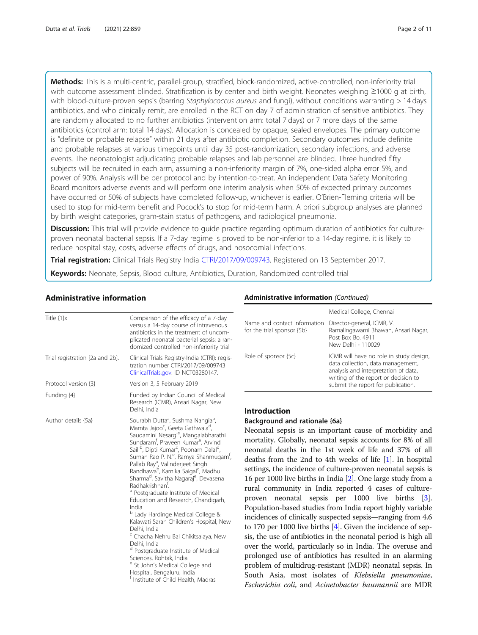Methods: This is a multi-centric, parallel-group, stratified, block-randomized, active-controlled, non-inferiority trial with outcome assessment blinded. Stratification is by center and birth weight. Neonates weighing ≥1000 g at birth, with blood-culture-proven sepsis (barring Staphylococcus aureus and fungi), without conditions warranting > 14 days antibiotics, and who clinically remit, are enrolled in the RCT on day 7 of administration of sensitive antibiotics. They are randomly allocated to no further antibiotics (intervention arm: total 7 days) or 7 more days of the same antibiotics (control arm: total 14 days). Allocation is concealed by opaque, sealed envelopes. The primary outcome is "definite or probable relapse" within 21 days after antibiotic completion. Secondary outcomes include definite and probable relapses at various timepoints until day 35 post-randomization, secondary infections, and adverse events. The neonatologist adjudicating probable relapses and lab personnel are blinded. Three hundred fifty subjects will be recruited in each arm, assuming a non-inferiority margin of 7%, one-sided alpha error 5%, and power of 90%. Analysis will be per protocol and by intention-to-treat. An independent Data Safety Monitoring Board monitors adverse events and will perform one interim analysis when 50% of expected primary outcomes have occurred or 50% of subjects have completed follow-up, whichever is earlier. O'Brien-Fleming criteria will be used to stop for mid-term benefit and Pocock's to stop for mid-term harm. A priori subgroup analyses are planned by birth weight categories, gram-stain status of pathogens, and radiological pneumonia.

**Discussion:** This trial will provide evidence to quide practice regarding optimum duration of antibiotics for cultureproven neonatal bacterial sepsis. If a 7-day regime is proved to be non-inferior to a 14-day regime, it is likely to reduce hospital stay, costs, adverse effects of drugs, and nosocomial infections.

Trial registration: Clinical Trials Registry India [CTRI/2017/09/009743](http://ctri.nic.in). Registered on 13 September 2017.

Keywords: Neonate, Sepsis, Blood culture, Antibiotics, Duration, Randomized controlled trial

# Administrative information

| Title $\{1\}x$                  | Comparison of the efficacy of a 7-day<br>versus a 14-day course of intravenous<br>antibiotics in the treatment of uncom-<br>plicated neonatal bacterial sepsis: a ran-<br>domized controlled non-inferiority trial                                                                                                                                                                                                                                                                                                                                                                                                                                                                                                                                                                                                                                                                                                                                                                                                                              |  |  |  |  |
|---------------------------------|-------------------------------------------------------------------------------------------------------------------------------------------------------------------------------------------------------------------------------------------------------------------------------------------------------------------------------------------------------------------------------------------------------------------------------------------------------------------------------------------------------------------------------------------------------------------------------------------------------------------------------------------------------------------------------------------------------------------------------------------------------------------------------------------------------------------------------------------------------------------------------------------------------------------------------------------------------------------------------------------------------------------------------------------------|--|--|--|--|
| Trial registration {2a and 2b}. | Clinical Trials Registry-India (CTRI): regis-<br>tration number CTRI/2017/09/009743<br>ClinicalTrials.gov: ID NCT03280147.                                                                                                                                                                                                                                                                                                                                                                                                                                                                                                                                                                                                                                                                                                                                                                                                                                                                                                                      |  |  |  |  |
| Protocol version {3}            | Version 3, 5 February 2019                                                                                                                                                                                                                                                                                                                                                                                                                                                                                                                                                                                                                                                                                                                                                                                                                                                                                                                                                                                                                      |  |  |  |  |
| Funding {4}                     | Funded by Indian Council of Medical<br>Research (ICMR), Ansari Nagar, New<br>Delhi, India                                                                                                                                                                                                                                                                                                                                                                                                                                                                                                                                                                                                                                                                                                                                                                                                                                                                                                                                                       |  |  |  |  |
| Author details {5a}             | Sourabh Dutta <sup>a</sup> , Sushma Nangia <sup>b</sup> ,<br>Mamta Jajoo <sup>c</sup> , Geeta Gathwala <sup>d</sup> ,<br>Saudamini Nesargi <sup>e</sup> , Mangalabharathi<br>Sundaram <sup>t</sup> , Praveen Kumar <sup>a</sup> , Arvind<br>Saili <sup>b</sup> , Dipti Kumar <sup>c</sup> , Poonam Dalal <sup>d</sup> ,<br>Suman Rao P. N. <sup>e</sup> , Ramya Shanmugam <sup>t</sup> ,<br>Pallab Ray <sup>a</sup> , Valinderjeet Singh<br>Randhawa <sup>b</sup> , Karnika Saigal <sup>c</sup> , Madhu<br>Sharma <sup>d</sup> , Savitha Nagaraj <sup>e</sup> , Devasena<br>Radhakrishnan <sup>t</sup> .<br>Postgraduate Institute of Medical<br>Education and Research, Chandigarh,<br>India<br>Lady Hardinge Medical College &<br>Kalawati Saran Children's Hospital, New<br>Delhi, India<br><sup>c</sup> Chacha Nehru Bal Chikitsalaya, New<br>Delhi, India<br>Postgraduate Institute of Medical<br>Sciences, Rohtak, India<br>St John's Medical College and<br>Hospital, Bengaluru, India<br><sup>f</sup> Institute of Child Health, Madras |  |  |  |  |

# Administrative information (Continued)

|                                                            | Medical College, Chennai                                                                                                                                                                           |  |  |  |  |
|------------------------------------------------------------|----------------------------------------------------------------------------------------------------------------------------------------------------------------------------------------------------|--|--|--|--|
| Name and contact information<br>for the trial sponsor {5b} | Director-general, ICMR, V.<br>Ramalingawami Bhawan, Ansari Nagar,<br>Post Box Bo. 4911<br>New Delhi - 110029                                                                                       |  |  |  |  |
| Role of sponsor {5c}                                       | ICMR will have no role in study design,<br>data collection, data management,<br>analysis and interpretation of data,<br>writing of the report or decision to<br>submit the report for publication. |  |  |  |  |

# **ntroduction**

#### ackground and rationale {6a}

Neonatal sepsis is an important cause of morbidity and mortality. Globally, neonatal sepsis accounts for 8% of all neonatal deaths in the 1st week of life and 37% of all eaths from the 2nd to 4th weeks of life  $[1]$  $[1]$ . In hospital settings, the incidence of culture-proven neonatal sepsis is 16 per 1000 live births in India [\[2](#page-9-0)]. One large study from a rural community in India reported 4 cases of cultureproven neonatal sepsis per 1000 live births [[3](#page-9-0)]. opulation-based studies from India report highly variable incidences of clinically suspected sepsis—ranging from 4.6  $\sigma$  170 per 1000 live births [\[4\]](#page-9-0). Given the incidence of sepsis, the use of antibiotics in the neonatal period is high all ver the world, particularly so in India. The overuse and prolonged use of antibiotics has resulted in an alarming problem of multidrug-resistant (MDR) neonatal sepsis. In outh Asia, most isolates of *Klebsiella pneumoniae*, Escherichia coli, and Acinetobacter baumannii are MDR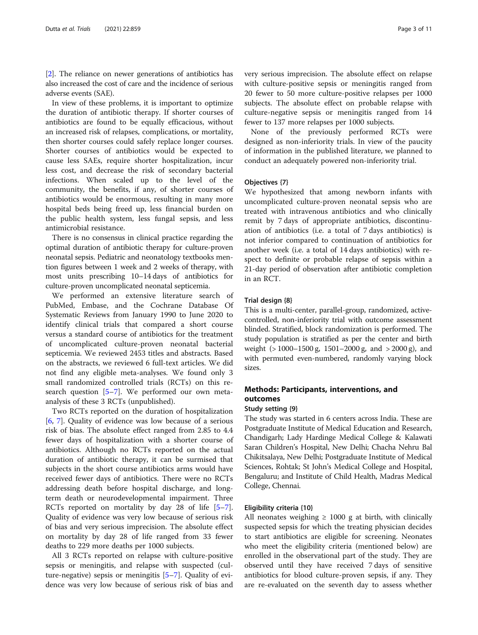[[2\]](#page-9-0). The reliance on newer generations of antibiotics has also increased the cost of care and the incidence of serious adverse events (SAE).

In view of these problems, it is important to optimize the duration of antibiotic therapy. If shorter courses of antibiotics are found to be equally efficacious, without an increased risk of relapses, complications, or mortality, then shorter courses could safely replace longer courses. Shorter courses of antibiotics would be expected to cause less SAEs, require shorter hospitalization, incur less cost, and decrease the risk of secondary bacterial infections. When scaled up to the level of the community, the benefits, if any, of shorter courses of antibiotics would be enormous, resulting in many more hospital beds being freed up, less financial burden on the public health system, less fungal sepsis, and less antimicrobial resistance.

There is no consensus in clinical practice regarding the optimal duration of antibiotic therapy for culture-proven neonatal sepsis. Pediatric and neonatology textbooks mention figures between 1 week and 2 weeks of therapy, with most units prescribing 10–14 days of antibiotics for culture-proven uncomplicated neonatal septicemia.

We performed an extensive literature search of PubMed, Embase, and the Cochrane Database Of Systematic Reviews from January 1990 to June 2020 to identify clinical trials that compared a short course versus a standard course of antibiotics for the treatment of uncomplicated culture-proven neonatal bacterial septicemia. We reviewed 2453 titles and abstracts. Based on the abstracts, we reviewed 6 full-text articles. We did not find any eligible meta-analyses. We found only 3 small randomized controlled trials (RCTs) on this research question [\[5](#page-9-0)–[7\]](#page-9-0). We performed our own metaanalysis of these 3 RCTs (unpublished).

Two RCTs reported on the duration of hospitalization [[6,](#page-9-0) [7\]](#page-9-0). Quality of evidence was low because of a serious risk of bias. The absolute effect ranged from 2.85 to 4.4 fewer days of hospitalization with a shorter course of antibiotics. Although no RCTs reported on the actual duration of antibiotic therapy, it can be surmised that subjects in the short course antibiotics arms would have received fewer days of antibiotics. There were no RCTs addressing death before hospital discharge, and longterm death or neurodevelopmental impairment. Three RCTs reported on mortality by day 28 of life [\[5](#page-9-0)–[7](#page-9-0)]. Quality of evidence was very low because of serious risk of bias and very serious imprecision. The absolute effect on mortality by day 28 of life ranged from 33 fewer deaths to 229 more deaths per 1000 subjects.

All 3 RCTs reported on relapse with culture-positive sepsis or meningitis, and relapse with suspected (culture-negative) sepsis or meningitis [[5](#page-9-0)–[7\]](#page-9-0). Quality of evidence was very low because of serious risk of bias and very serious imprecision. The absolute effect on relapse with culture-positive sepsis or meningitis ranged from 20 fewer to 50 more culture-positive relapses per 1000 subjects. The absolute effect on probable relapse with culture-negative sepsis or meningitis ranged from 14 fewer to 137 more relapses per 1000 subjects.

None of the previously performed RCTs were designed as non-inferiority trials. In view of the paucity of information in the published literature, we planned to conduct an adequately powered non-inferiority trial.

#### Objectives {7}

We hypothesized that among newborn infants with uncomplicated culture-proven neonatal sepsis who are treated with intravenous antibiotics and who clinically remit by 7 days of appropriate antibiotics, discontinuation of antibiotics (i.e. a total of 7 days antibiotics) is not inferior compared to continuation of antibiotics for another week (i.e. a total of 14 days antibiotics) with respect to definite or probable relapse of sepsis within a 21-day period of observation after antibiotic completion in an RCT.

#### Trial design {8}

This is a multi-center, parallel-group, randomized, activecontrolled, non-inferiority trial with outcome assessment blinded. Stratified, block randomization is performed. The study population is stratified as per the center and birth weight  $(>1000-1500 \text{ g}, 1501-2000 \text{ g}, \text{ and } >2000 \text{ g})$ , and with permuted even-numbered, randomly varying block sizes.

# Methods: Participants, interventions, and outcomes

#### Study setting {9}

The study was started in 6 centers across India. These are Postgraduate Institute of Medical Education and Research, Chandigarh; Lady Hardinge Medical College & Kalawati Saran Children's Hospital, New Delhi; Chacha Nehru Bal Chikitsalaya, New Delhi; Postgraduate Institute of Medical Sciences, Rohtak; St John's Medical College and Hospital, Bengaluru; and Institute of Child Health, Madras Medical College, Chennai.

#### Eligibility criteria {10}

All neonates weighing  $\geq 1000$  g at birth, with clinically suspected sepsis for which the treating physician decides to start antibiotics are eligible for screening. Neonates who meet the eligibility criteria (mentioned below) are enrolled in the observational part of the study. They are observed until they have received 7 days of sensitive antibiotics for blood culture-proven sepsis, if any. They are re-evaluated on the seventh day to assess whether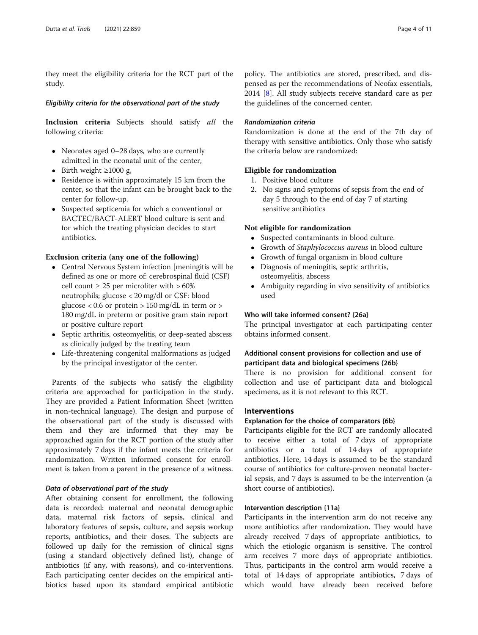they meet the eligibility criteria for the RCT part of the study.

#### Eligibility criteria for the observational part of the study

Inclusion criteria Subjects should satisfy all the following criteria:

- Neonates aged 0–28 days, who are currently admitted in the neonatal unit of the center,
- $\bullet$  Birth weight ≥1000 g,
- Residence is within approximately 15 km from the center, so that the infant can be brought back to the center for follow-up.
- Suspected septicemia for which a conventional or BACTEC/BACT-ALERT blood culture is sent and for which the treating physician decides to start antibiotics.

# Exclusion criteria (any one of the following)

- Central Nervous System infection [meningitis will be defined as one or more of: cerebrospinal fluid (CSF) cell count  $\geq 25$  per microliter with  $>60\%$ neutrophils; glucose < 20 mg/dl or CSF: blood glucose  $< 0.6$  or protein  $> 150$  mg/dL in term or  $>$ 180 mg/dL in preterm or positive gram stain report or positive culture report
- Septic arthritis, osteomyelitis, or deep-seated abscess as clinically judged by the treating team
- Life-threatening congenital malformations as judged by the principal investigator of the center.

Parents of the subjects who satisfy the eligibility criteria are approached for participation in the study. They are provided a Patient Information Sheet (written in non-technical language). The design and purpose of the observational part of the study is discussed with them and they are informed that they may be approached again for the RCT portion of the study after approximately 7 days if the infant meets the criteria for randomization. Written informed consent for enrollment is taken from a parent in the presence of a witness.

# Data of observational part of the study

After obtaining consent for enrollment, the following data is recorded: maternal and neonatal demographic data, maternal risk factors of sepsis, clinical and laboratory features of sepsis, culture, and sepsis workup reports, antibiotics, and their doses. The subjects are followed up daily for the remission of clinical signs (using a standard objectively defined list), change of antibiotics (if any, with reasons), and co-interventions. Each participating center decides on the empirical antibiotics based upon its standard empirical antibiotic

policy. The antibiotics are stored, prescribed, and dispensed as per the recommendations of Neofax essentials, 2014 [\[8](#page-9-0)]. All study subjects receive standard care as per the guidelines of the concerned center.

# Randomization criteria

Randomization is done at the end of the 7th day of therapy with sensitive antibiotics. Only those who satisfy the criteria below are randomized:

# Eligible for randomization

- 1. Positive blood culture
- 2. No signs and symptoms of sepsis from the end of day 5 through to the end of day 7 of starting sensitive antibiotics

# Not eligible for randomization

- Suspected contaminants in blood culture.
- Growth of Staphylococcus aureus in blood culture
- Growth of fungal organism in blood culture
- Diagnosis of meningitis, septic arthritis, osteomyelitis, abscess
- Ambiguity regarding in vivo sensitivity of antibiotics used

# Who will take informed consent? {26a}

The principal investigator at each participating center obtains informed consent.

# Additional consent provisions for collection and use of participant data and biological specimens {26b}

There is no provision for additional consent for collection and use of participant data and biological specimens, as it is not relevant to this RCT.

# Interventions

# Explanation for the choice of comparators {6b}

Participants eligible for the RCT are randomly allocated to receive either a total of 7 days of appropriate antibiotics or a total of 14 days of appropriate antibiotics. Here, 14 days is assumed to be the standard course of antibiotics for culture-proven neonatal bacterial sepsis, and 7 days is assumed to be the intervention (a short course of antibiotics).

# Intervention description {11a}

Participants in the intervention arm do not receive any more antibiotics after randomization. They would have already received 7 days of appropriate antibiotics, to which the etiologic organism is sensitive. The control arm receives 7 more days of appropriate antibiotics. Thus, participants in the control arm would receive a total of 14 days of appropriate antibiotics, 7 days of which would have already been received before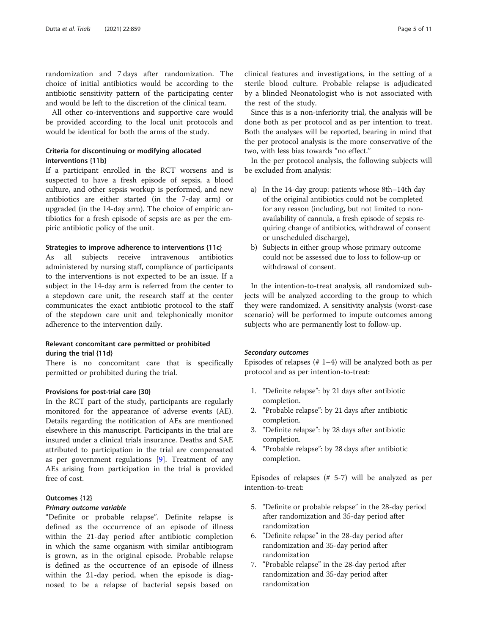randomization and 7 days after randomization. The choice of initial antibiotics would be according to the antibiotic sensitivity pattern of the participating center and would be left to the discretion of the clinical team.

All other co-interventions and supportive care would be provided according to the local unit protocols and would be identical for both the arms of the study.

# Criteria for discontinuing or modifying allocated interventions {11b}

If a participant enrolled in the RCT worsens and is suspected to have a fresh episode of sepsis, a blood culture, and other sepsis workup is performed, and new antibiotics are either started (in the 7-day arm) or upgraded (in the 14-day arm). The choice of empiric antibiotics for a fresh episode of sepsis are as per the empiric antibiotic policy of the unit.

#### Strategies to improve adherence to interventions {11c}

As all subjects receive intravenous antibiotics administered by nursing staff, compliance of participants to the interventions is not expected to be an issue. If a subject in the 14-day arm is referred from the center to a stepdown care unit, the research staff at the center communicates the exact antibiotic protocol to the staff of the stepdown care unit and telephonically monitor adherence to the intervention daily.

# Relevant concomitant care permitted or prohibited during the trial {11d}

There is no concomitant care that is specifically permitted or prohibited during the trial.

#### Provisions for post-trial care {30}

In the RCT part of the study, participants are regularly monitored for the appearance of adverse events (AE). Details regarding the notification of AEs are mentioned elsewhere in this manuscript. Participants in the trial are insured under a clinical trials insurance. Deaths and SAE attributed to participation in the trial are compensated as per government regulations [[9\]](#page-9-0). Treatment of any AEs arising from participation in the trial is provided free of cost.

# Outcomes {12}

#### Primary outcome variable

"Definite or probable relapse". Definite relapse is defined as the occurrence of an episode of illness within the 21-day period after antibiotic completion in which the same organism with similar antibiogram is grown, as in the original episode. Probable relapse is defined as the occurrence of an episode of illness within the 21-day period, when the episode is diagnosed to be a relapse of bacterial sepsis based on clinical features and investigations, in the setting of a sterile blood culture. Probable relapse is adjudicated by a blinded Neonatologist who is not associated with the rest of the study.

Since this is a non-inferiority trial, the analysis will be done both as per protocol and as per intention to treat. Both the analyses will be reported, bearing in mind that the per protocol analysis is the more conservative of the two, with less bias towards "no effect."

In the per protocol analysis, the following subjects will be excluded from analysis:

- a) In the 14-day group: patients whose 8th–14th day of the original antibiotics could not be completed for any reason (including, but not limited to nonavailability of cannula, a fresh episode of sepsis requiring change of antibiotics, withdrawal of consent or unscheduled discharge),
- b) Subjects in either group whose primary outcome could not be assessed due to loss to follow-up or withdrawal of consent.

In the intention-to-treat analysis, all randomized subjects will be analyzed according to the group to which they were randomized. A sensitivity analysis (worst-case scenario) will be performed to impute outcomes among subjects who are permanently lost to follow-up.

#### Secondary outcomes

Episodes of relapses (# 1–4) will be analyzed both as per protocol and as per intention-to-treat:

- 1. "Definite relapse": by 21 days after antibiotic completion.
- 2. "Probable relapse": by 21 days after antibiotic completion.
- 3. "Definite relapse": by 28 days after antibiotic completion.
- 4. "Probable relapse": by 28 days after antibiotic completion.

Episodes of relapses (# 5-7) will be analyzed as per intention-to-treat:

- 5. "Definite or probable relapse" in the 28-day period after randomization and 35-day period after randomization
- 6. "Definite relapse" in the 28-day period after randomization and 35-day period after randomization
- 7. "Probable relapse" in the 28-day period after randomization and 35-day period after randomization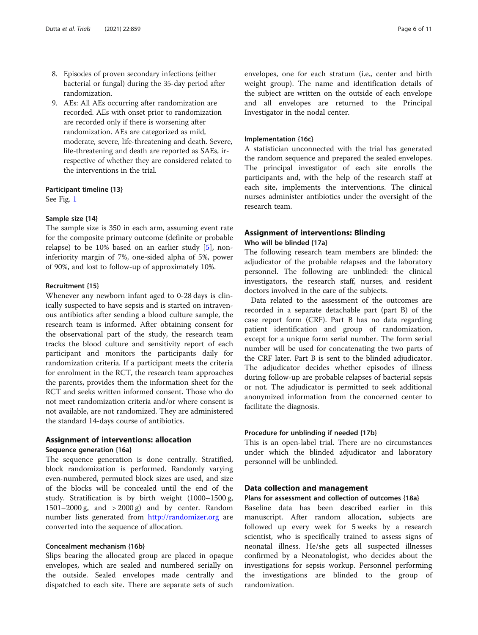- 8. Episodes of proven secondary infections (either bacterial or fungal) during the 35-day period after randomization.
- 9. AEs: All AEs occurring after randomization are recorded. AEs with onset prior to randomization are recorded only if there is worsening after randomization. AEs are categorized as mild, moderate, severe, life-threatening and death. Severe, life-threatening and death are reported as SAEs, irrespective of whether they are considered related to the interventions in the trial.

# Participant timeline {13}

See Fig. [1](#page-6-0)

#### Sample size {14}

The sample size is 350 in each arm, assuming event rate for the composite primary outcome (definite or probable relapse) to be  $10\%$  based on an earlier study [\[5](#page-9-0)], noninferiority margin of 7%, one-sided alpha of 5%, power of 90%, and lost to follow-up of approximately 10%.

#### Recruitment {15}

Whenever any newborn infant aged to 0-28 days is clinically suspected to have sepsis and is started on intravenous antibiotics after sending a blood culture sample, the research team is informed. After obtaining consent for the observational part of the study, the research team tracks the blood culture and sensitivity report of each participant and monitors the participants daily for randomization criteria. If a participant meets the criteria for enrolment in the RCT, the research team approaches the parents, provides them the information sheet for the RCT and seeks written informed consent. Those who do not meet randomization criteria and/or where consent is not available, are not randomized. They are administered the standard 14-days course of antibiotics.

#### Assignment of interventions: allocation

#### Sequence generation {16a}

The sequence generation is done centrally. Stratified, block randomization is performed. Randomly varying even-numbered, permuted block sizes are used, and size of the blocks will be concealed until the end of the study. Stratification is by birth weight (1000–1500 g, 1501–2000 g, and > 2000 g) and by center. Random number lists generated from <http://randomizer.org> are converted into the sequence of allocation.

# Concealment mechanism {16b}

Slips bearing the allocated group are placed in opaque envelopes, which are sealed and numbered serially on the outside. Sealed envelopes made centrally and dispatched to each site. There are separate sets of such envelopes, one for each stratum (i.e., center and birth weight group). The name and identification details of the subject are written on the outside of each envelope and all envelopes are returned to the Principal Investigator in the nodal center.

#### Implementation {16c}

A statistician unconnected with the trial has generated the random sequence and prepared the sealed envelopes. The principal investigator of each site enrolls the participants and, with the help of the research staff at each site, implements the interventions. The clinical nurses administer antibiotics under the oversight of the research team.

# Assignment of interventions: Blinding Who will be blinded {17a}

The following research team members are blinded: the adjudicator of the probable relapses and the laboratory personnel. The following are unblinded: the clinical investigators, the research staff, nurses, and resident doctors involved in the care of the subjects.

Data related to the assessment of the outcomes are recorded in a separate detachable part (part B) of the case report form (CRF). Part B has no data regarding patient identification and group of randomization, except for a unique form serial number. The form serial number will be used for concatenating the two parts of the CRF later. Part B is sent to the blinded adjudicator. The adjudicator decides whether episodes of illness during follow-up are probable relapses of bacterial sepsis or not. The adjudicator is permitted to seek additional anonymized information from the concerned center to facilitate the diagnosis.

#### Procedure for unblinding if needed {17b}

This is an open-label trial. There are no circumstances under which the blinded adjudicator and laboratory personnel will be unblinded.

#### Data collection and management

#### Plans for assessment and collection of outcomes {18a}

Baseline data has been described earlier in this manuscript. After random allocation, subjects are followed up every week for 5 weeks by a research scientist, who is specifically trained to assess signs of neonatal illness. He/she gets all suspected illnesses confirmed by a Neonatologist, who decides about the investigations for sepsis workup. Personnel performing the investigations are blinded to the group of randomization.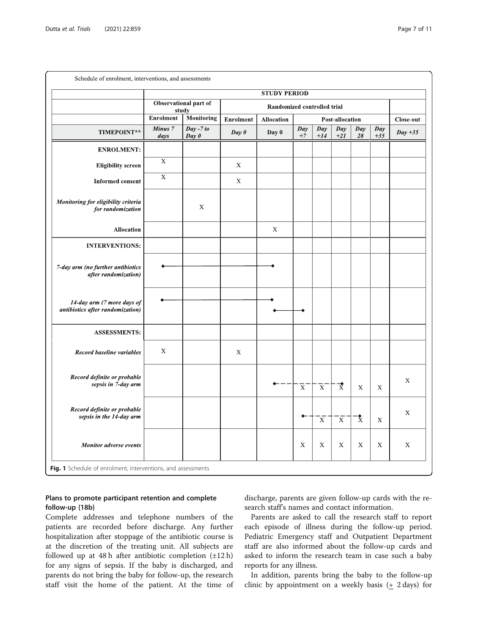<span id="page-6-0"></span>

|                                                                | <b>STUDY PERIOD</b>        |                                  |                             |                   |                 |                         |                      |                    |                           |             |  |  |
|----------------------------------------------------------------|----------------------------|----------------------------------|-----------------------------|-------------------|-----------------|-------------------------|----------------------|--------------------|---------------------------|-------------|--|--|
|                                                                |                            | Observational part of<br>study   | Randomized controlled trial |                   |                 |                         |                      |                    |                           |             |  |  |
|                                                                | <b>Enrolment</b>           | <b>Monitoring</b>                | <b>Enrolment</b>            | <b>Allocation</b> | Post-allocation |                         |                      |                    |                           | Close-out   |  |  |
| TIMEPOINT**                                                    | Minus <sub>7</sub><br>days | $\overline{Day - 7}$ to<br>Day 0 | Day 0                       | Day 0             | Day<br>$+7$     | Day<br>$+14$            | Day<br>$+21$         | Day<br>28          | $\overline{Day}$<br>$+35$ | $Day +35$   |  |  |
| <b>ENROLMENT:</b>                                              |                            |                                  |                             |                   |                 |                         |                      |                    |                           |             |  |  |
| <b>Eligibility</b> screen                                      | $\overline{\mathbf{X}}$    |                                  | $\mathbf X$                 |                   |                 |                         |                      |                    |                           |             |  |  |
| <b>Informed consent</b>                                        | $\mathbf X$                |                                  | $\mathbf X$                 |                   |                 |                         |                      |                    |                           |             |  |  |
| Monitoring for eligibility criteria<br>for randomization       |                            | X                                |                             |                   |                 |                         |                      |                    |                           |             |  |  |
| <b>Allocation</b>                                              |                            |                                  |                             | $\mathbf X$       |                 |                         |                      |                    |                           |             |  |  |
| <b>INTERVENTIONS:</b>                                          |                            |                                  |                             |                   |                 |                         |                      |                    |                           |             |  |  |
| 7-day arm (no further antibiotics<br>after randomization)      |                            |                                  |                             |                   |                 |                         |                      |                    |                           |             |  |  |
| 14-day arm (7 more days of<br>antibiotics after randomization) |                            |                                  |                             |                   |                 |                         |                      |                    |                           |             |  |  |
| <b>ASSESSMENTS:</b>                                            |                            |                                  |                             |                   |                 |                         |                      |                    |                           |             |  |  |
| Record baseline variables                                      | X                          |                                  | X                           |                   |                 |                         |                      |                    |                           |             |  |  |
| Record definite or probable<br>sepsis in 7-day arm             |                            |                                  |                             |                   | $\overline{X}$  | $\overline{\mathbf{x}}$ | $\overrightarrow{x}$ | $\mathbf X$        | X                         | X           |  |  |
| Record definite or probable<br>sepsis in the 14-day arm        |                            |                                  |                             |                   |                 | $\bar{x}$               | $\bar{x}$            | $\mathbf{\hat{x}}$ | $\mathbf X$               | X           |  |  |
| <b>Monitor adverse events</b>                                  |                            |                                  |                             |                   | X               | X                       | X                    | X                  | $\mathbf X$               | $\mathbf X$ |  |  |

# Plans to promote participant retention and complete follow-up {18b}

Complete addresses and telephone numbers of the patients are recorded before discharge. Any further hospitalization after stoppage of the antibiotic course is at the discretion of the treating unit. All subjects are followed up at 48 h after antibiotic completion  $(\pm 12 \text{ h})$ for any signs of sepsis. If the baby is discharged, and parents do not bring the baby for follow-up, the research staff visit the home of the patient. At the time of discharge, parents are given follow-up cards with the research staff's names and contact information.

Parents are asked to call the research staff to report each episode of illness during the follow-up period. Pediatric Emergency staff and Outpatient Department staff are also informed about the follow-up cards and asked to inform the research team in case such a baby reports for any illness.

In addition, parents bring the baby to the follow-up clinic by appointment on a weekly basis  $(1 + 2 \text{ days})$  for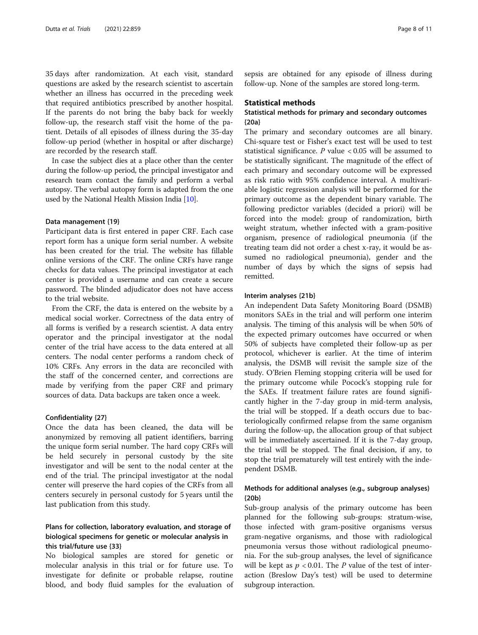35 days after randomization. At each visit, standard questions are asked by the research scientist to ascertain whether an illness has occurred in the preceding week that required antibiotics prescribed by another hospital. If the parents do not bring the baby back for weekly follow-up, the research staff visit the home of the patient. Details of all episodes of illness during the 35-day follow-up period (whether in hospital or after discharge) are recorded by the research staff.

In case the subject dies at a place other than the center during the follow-up period, the principal investigator and research team contact the family and perform a verbal autopsy. The verbal autopsy form is adapted from the one used by the National Health Mission India [[10\]](#page-10-0).

#### Data management {19}

Participant data is first entered in paper CRF. Each case report form has a unique form serial number. A website has been created for the trial. The website has fillable online versions of the CRF. The online CRFs have range checks for data values. The principal investigator at each center is provided a username and can create a secure password. The blinded adjudicator does not have access to the trial website.

From the CRF, the data is entered on the website by a medical social worker. Correctness of the data entry of all forms is verified by a research scientist. A data entry operator and the principal investigator at the nodal center of the trial have access to the data entered at all centers. The nodal center performs a random check of 10% CRFs. Any errors in the data are reconciled with the staff of the concerned center, and corrections are made by verifying from the paper CRF and primary sources of data. Data backups are taken once a week.

#### Confidentiality {27}

Once the data has been cleaned, the data will be anonymized by removing all patient identifiers, barring the unique form serial number. The hard copy CRFs will be held securely in personal custody by the site investigator and will be sent to the nodal center at the end of the trial. The principal investigator at the nodal center will preserve the hard copies of the CRFs from all centers securely in personal custody for 5 years until the last publication from this study.

# Plans for collection, laboratory evaluation, and storage of biological specimens for genetic or molecular analysis in this trial/future use {33}

No biological samples are stored for genetic or molecular analysis in this trial or for future use. To investigate for definite or probable relapse, routine blood, and body fluid samples for the evaluation of sepsis are obtained for any episode of illness during follow-up. None of the samples are stored long-term.

#### Statistical methods

# Statistical methods for primary and secondary outcomes {20a}

The primary and secondary outcomes are all binary. Chi-square test or Fisher's exact test will be used to test statistical significance.  $P$  value < 0.05 will be assumed to be statistically significant. The magnitude of the effect of each primary and secondary outcome will be expressed as risk ratio with 95% confidence interval. A multivariable logistic regression analysis will be performed for the primary outcome as the dependent binary variable. The following predictor variables (decided a priori) will be forced into the model: group of randomization, birth weight stratum, whether infected with a gram-positive organism, presence of radiological pneumonia (if the treating team did not order a chest x-ray, it would be assumed no radiological pneumonia), gender and the number of days by which the signs of sepsis had remitted.

#### Interim analyses {21b}

An independent Data Safety Monitoring Board (DSMB) monitors SAEs in the trial and will perform one interim analysis. The timing of this analysis will be when 50% of the expected primary outcomes have occurred or when 50% of subjects have completed their follow-up as per protocol, whichever is earlier. At the time of interim analysis, the DSMB will revisit the sample size of the study. O'Brien Fleming stopping criteria will be used for the primary outcome while Pocock's stopping rule for the SAEs. If treatment failure rates are found significantly higher in the 7-day group in mid-term analysis, the trial will be stopped. If a death occurs due to bacteriologically confirmed relapse from the same organism during the follow-up, the allocation group of that subject will be immediately ascertained. If it is the 7-day group, the trial will be stopped. The final decision, if any, to stop the trial prematurely will test entirely with the independent DSMB.

# Methods for additional analyses (e.g., subgroup analyses) {20b}

Sub-group analysis of the primary outcome has been planned for the following sub-groups: stratum-wise, those infected with gram-positive organisms versus gram-negative organisms, and those with radiological pneumonia versus those without radiological pneumonia. For the sub-group analyses, the level of significance will be kept as  $p < 0.01$ . The P value of the test of interaction (Breslow Day's test) will be used to determine subgroup interaction.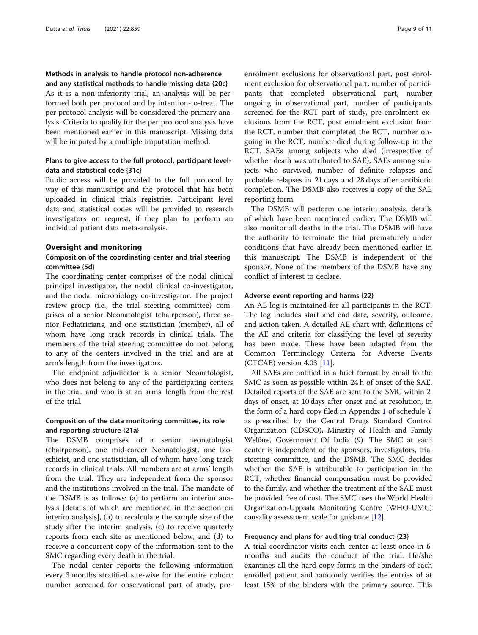# Methods in analysis to handle protocol non-adherence and any statistical methods to handle missing data {20c}

As it is a non-inferiority trial, an analysis will be performed both per protocol and by intention-to-treat. The per protocol analysis will be considered the primary analysis. Criteria to qualify for the per protocol analysis have been mentioned earlier in this manuscript. Missing data will be imputed by a multiple imputation method.

# Plans to give access to the full protocol, participant leveldata and statistical code {31c}

Public access will be provided to the full protocol by way of this manuscript and the protocol that has been uploaded in clinical trials registries. Participant level data and statistical codes will be provided to research investigators on request, if they plan to perform an individual patient data meta-analysis.

#### Oversight and monitoring

# Composition of the coordinating center and trial steering committee {5d}

The coordinating center comprises of the nodal clinical principal investigator, the nodal clinical co-investigator, and the nodal microbiology co-investigator. The project review group (i.e., the trial steering committee) comprises of a senior Neonatologist (chairperson), three senior Pediatricians, and one statistician (member), all of whom have long track records in clinical trials. The members of the trial steering committee do not belong to any of the centers involved in the trial and are at arm's length from the investigators.

The endpoint adjudicator is a senior Neonatologist, who does not belong to any of the participating centers in the trial, and who is at an arms' length from the rest of the trial.

# Composition of the data monitoring committee, its role and reporting structure {21a}

The DSMB comprises of a senior neonatologist (chairperson), one mid-career Neonatologist, one bioethicist, and one statistician, all of whom have long track records in clinical trials. All members are at arms' length from the trial. They are independent from the sponsor and the institutions involved in the trial. The mandate of the DSMB is as follows: (a) to perform an interim analysis [details of which are mentioned in the section on interim analysis], (b) to recalculate the sample size of the study after the interim analysis, (c) to receive quarterly reports from each site as mentioned below, and (d) to receive a concurrent copy of the information sent to the SMC regarding every death in the trial.

The nodal center reports the following information every 3 months stratified site-wise for the entire cohort: number screened for observational part of study, preenrolment exclusions for observational part, post enrolment exclusion for observational part, number of participants that completed observational part, number ongoing in observational part, number of participants screened for the RCT part of study, pre-enrolment exclusions from the RCT, post enrolment exclusion from the RCT, number that completed the RCT, number ongoing in the RCT, number died during follow-up in the RCT, SAEs among subjects who died (irrespective of whether death was attributed to SAE), SAEs among subjects who survived, number of definite relapses and probable relapses in 21 days and 28 days after antibiotic completion. The DSMB also receives a copy of the SAE reporting form.

The DSMB will perform one interim analysis, details of which have been mentioned earlier. The DSMB will also monitor all deaths in the trial. The DSMB will have the authority to terminate the trial prematurely under conditions that have already been mentioned earlier in this manuscript. The DSMB is independent of the sponsor. None of the members of the DSMB have any conflict of interest to declare.

#### Adverse event reporting and harms {22}

An AE log is maintained for all participants in the RCT. The log includes start and end date, severity, outcome, and action taken. A detailed AE chart with definitions of the AE and criteria for classifying the level of severity has been made. These have been adapted from the Common Terminology Criteria for Adverse Events (CTCAE) version 4.03 [[11\]](#page-10-0).

All SAEs are notified in a brief format by email to the SMC as soon as possible within 24 h of onset of the SAE. Detailed reports of the SAE are sent to the SMC within 2 days of onset, at 10 days after onset and at resolution, in the form of a hard copy filed in Appendix [1](#page-9-0) of schedule Y as prescribed by the Central Drugs Standard Control Organization (CDSCO), Ministry of Health and Family Welfare, Government Of India (9). The SMC at each center is independent of the sponsors, investigators, trial steering committee, and the DSMB. The SMC decides whether the SAE is attributable to participation in the RCT, whether financial compensation must be provided to the family, and whether the treatment of the SAE must be provided free of cost. The SMC uses the World Health Organization-Uppsala Monitoring Centre (WHO-UMC) causality assessment scale for guidance [[12](#page-10-0)].

#### Frequency and plans for auditing trial conduct {23}

A trial coordinator visits each center at least once in 6 months and audits the conduct of the trial. He/she examines all the hard copy forms in the binders of each enrolled patient and randomly verifies the entries of at least 15% of the binders with the primary source. This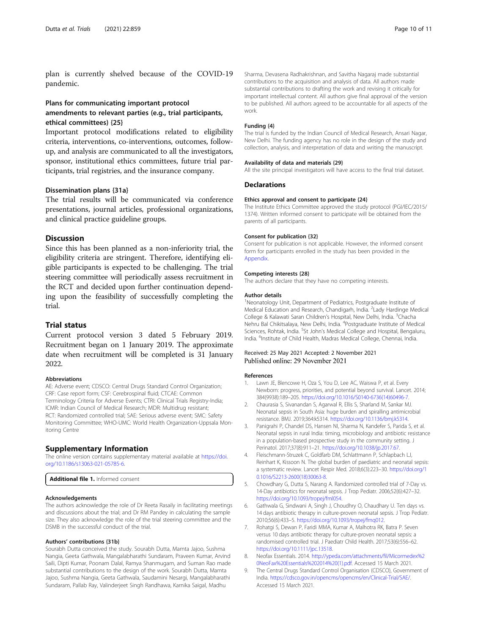<span id="page-9-0"></span>plan is currently shelved because of the COVID-19 pandemic.

# Plans for communicating important protocol amendments to relevant parties (e.g., trial participants, ethical committees) {25}

Important protocol modifications related to eligibility criteria, interventions, co-interventions, outcomes, followup, and analysis are communicated to all the investigators, sponsor, institutional ethics committees, future trial participants, trial registries, and the insurance company.

#### Dissemination plans {31a}

The trial results will be communicated via conference presentations, journal articles, professional organizations, and clinical practice guideline groups.

#### **Discussion**

Since this has been planned as a non-inferiority trial, the eligibility criteria are stringent. Therefore, identifying eligible participants is expected to be challenging. The trial steering committee will periodically assess recruitment in the RCT and decided upon further continuation depending upon the feasibility of successfully completing the trial.

#### Trial status

Current protocol version 3 dated 5 February 2019. Recruitment began on 1 January 2019. The approximate date when recruitment will be completed is 31 January 2022.

#### Abbreviations

AE: Adverse event; CDSCO: Central Drugs Standard Control Organization; CRF: Case report form; CSF: Cerebrospinal fluid; CTCAE: Common Terminology Criteria for Adverse Events; CTRI: Clinical Trials Registry-India; ICMR: Indian Council of Medical Research; MDR: Multidrug resistant; RCT: Randomized controlled trial; SAE: Serious adverse event; SMC: Safety Monitoring Committee; WHO-UMC: World Health Organization-Uppsala Monitoring Centre

#### Supplementary Information

The online version contains supplementary material available at [https://doi.](https://doi.org/10.1186/s13063-021-05785-6) [org/10.1186/s13063-021-05785-6.](https://doi.org/10.1186/s13063-021-05785-6)

Additional file 1. Informed consent

#### Acknowledgements

The authors acknowledge the role of Dr Reeta Rasaily in facilitating meetings and discussions about the trial; and Dr RM Pandey in calculating the sample size. They also acknowledge the role of the trial steering committee and the DSMB in the successful conduct of the trial.

#### Authors' contributions {31b}

Sourabh Dutta conceived the study. Sourabh Dutta, Mamta Jajoo, Sushma Nangia, Geeta Gathwala, Mangalabharathi Sundaram, Praveen Kumar, Arvind Saili, Dipti Kumar, Poonam Dalal, Ramya Shanmugam, and Suman Rao made substantial contributions to the design of the work. Sourabh Dutta, Mamta Jajoo, Sushma Nangia, Geeta Gathwala, Saudamini Nesargi, Mangalabharathi Sundaram, Pallab Ray, Valinderjeet Singh Randhawa, Karnika Saigal, Madhu

#### Funding {4}

The trial is funded by the Indian Council of Medical Research, Ansari Nagar, New Delhi. The funding agency has no role in the design of the study and collection, analysis, and interpretation of data and writing the manuscript.

#### Availability of data and materials {29}

All the site principal investigators will have access to the final trial dataset.

#### **Declarations**

#### Ethics approval and consent to participate {24}

The Institute Ethics Committee approved the study protocol (PGI/IEC/2015/ 1374). Written informed consent to participate will be obtained from the parents of all participants.

#### Consent for publication {32}

Consent for publication is not applicable. However, the informed consent form for participants enrolled in the study has been provided in the Appendix.

#### Competing interests {28}

The authors declare that they have no competing interests.

#### Author details

<sup>1</sup>Neonatology Unit, Department of Pediatrics, Postgraduate Institute of Medical Education and Research, Chandigarh, India. <sup>2</sup> Lady Hardinge Medical College & Kalawati Saran Children's Hospital, New Delhi, India. <sup>3</sup>Chacha Nehru Bal Chikitsalaya, New Delhi, India. <sup>4</sup>Postgraduate Institute of Medical Sciences, Rohtak, India. <sup>5</sup>St John's Medical College and Hospital, Bengaluru, India. <sup>6</sup> Institute of Child Health, Madras Medical College, Chennai, India.

#### Received: 25 May 2021 Accepted: 2 November 2021 Published online: 29 November 2021

#### References

- 1. Lawn JE, Blencowe H, Oza S, You D, Lee AC, Waiswa P, et al. Every Newborn: progress, priorities, and potential beyond survival. Lancet. 2014; 384(9938):189–205. [https://doi.org/10.1016/S0140-6736\(14\)60496-7.](https://doi.org/10.1016/S0140-6736(14)60496-7)
- 2. Chaurasia S, Sivanandan S, Agarwal R, Ellis S, Sharland M, Sankar MJ. Neonatal sepsis in South Asia: huge burden and spiralling antimicrobial resistance. BMJ. 2019;364:k5314. <https://doi.org/10.1136/bmj.k5314>.
- 3. Panigrahi P, Chandel DS, Hansen NI, Sharma N, Kandefer S, Parida S, et al. Neonatal sepsis in rural India: timing, microbiology and antibiotic resistance in a population-based prospective study in the community setting. J Perinatol. 2017;37(8):911–21. <https://doi.org/10.1038/jp.2017.67>.
- 4. Fleischmann-Struzek C, Goldfarb DM, Schlattmann P, Schlapbach LJ, Reinhart K, Kissoon N. The global burden of paediatric and neonatal sepsis: a systematic review. Lancet Respir Med. 2018;6(3):223–30. [https://doi.org/1](https://doi.org/10.1016/S2213-2600(18)30063-8) [0.1016/S2213-2600\(18\)30063-8](https://doi.org/10.1016/S2213-2600(18)30063-8).
- 5. Chowdhary G, Dutta S, Narang A. Randomized controlled trial of 7-Day vs. 14-Day antibiotics for neonatal sepsis. J Trop Pediatr. 2006;52(6):427–32. [https://doi.org/10.1093/tropej/fml054.](https://doi.org/10.1093/tropej/fml054)
- 6. Gathwala G, Sindwani A, Singh J, Choudhry O, Chaudhary U. Ten days vs. 14 days antibiotic therapy in culture-proven neonatal sepsis. J Trop Pediatr. 2010;56(6):433–5. <https://doi.org/10.1093/tropej/fmq012>.
- 7. Rohatgi S, Dewan P, Faridi MMA, Kumar A, Malhotra RK, Batra P. Seven versus 10 days antibiotic therapy for culture-proven neonatal sepsis: a randomised controlled trial. J Paediatr Child Health. 2017;53(6):556–62. [https://doi.org/10.1111/jpc.13518.](https://doi.org/10.1111/jpc.13518)
- 8. Neofax Essentials. 2014. [http://ypeda.com/attachments/fil/Micormedex%2](http://ypeda.com/attachments/fil/Micormedex%20NeoFax%20Essentials%202014%20(1).pdf) [0NeoFax%20Essentials%202014%20\(1\).pdf.](http://ypeda.com/attachments/fil/Micormedex%20NeoFax%20Essentials%202014%20(1).pdf) Accessed 15 March 2021.
- 9. The Central Drugs Standard Control Organisation (CDSCO), Government of India. <https://cdsco.gov.in/opencms/opencms/en/Clinical-Trial/SAE/>. Accessed 15 March 2021.